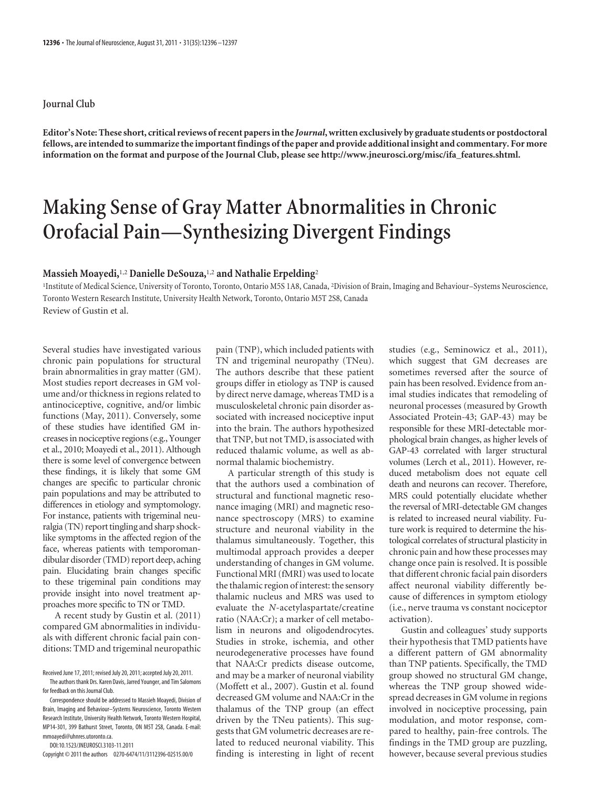## **Journal Club**

**Editor's Note: These short, critical reviews of recent papers in the** *Journal***, written exclusively by graduate students or postdoctoral fellows, are intended to summarize the important findings of the paper and provide additional insight and commentary. For more information on the format and purpose of the Journal Club, please see http://www.jneurosci.org/misc/ifa\_features.shtml.**

## **Making Sense of Gray Matter Abnormalities in Chronic Orofacial Pain—Synthesizing Divergent Findings**

## **Massieh Moayedi,**1,2 **Danielle DeSouza,**1,2 **and Nathalie Erpelding**<sup>2</sup>

1 Institute of Medical Science, University of Toronto, Toronto, Ontario M5S 1A8, Canada, <sup>2</sup> Division of Brain, Imaging and Behaviour–Systems Neuroscience, Toronto Western Research Institute, University Health Network, Toronto, Ontario M5T 2S8, Canada Review of Gustin et al.

Several studies have investigated various chronic pain populations for structural brain abnormalities in gray matter (GM). Most studies report decreases in GM volume and/or thickness in regions related to antinociceptive, cognitive, and/or limbic functions (May, 2011). Conversely, some of these studies have identified GM increases in nociceptive regions (e.g., Younger et al., 2010; Moayedi et al., 2011). Although there is some level of convergence between these findings, it is likely that some GM changes are specific to particular chronic pain populations and may be attributed to differences in etiology and symptomology. For instance, patients with trigeminal neuralgia (TN) report tingling and sharp shocklike symptoms in the affected region of the face, whereas patients with temporomandibular disorder (TMD) report deep, aching pain. Elucidating brain changes specific to these trigeminal pain conditions may provide insight into novel treatment approaches more specific to TN or TMD.

A recent study by Gustin et al. (2011) compared GM abnormalities in individuals with different chronic facial pain conditions: TMD and trigeminal neuropathic

DOI:10.1523/JNEUROSCI.3103-11.2011

Copyright © 2011 the authors 0270-6474/11/3112396-02\$15.00/0

pain (TNP), which included patients with TN and trigeminal neuropathy (TNeu). The authors describe that these patient groups differ in etiology as TNP is caused by direct nerve damage, whereas TMD is a musculoskeletal chronic pain disorder associated with increased nociceptive input into the brain. The authors hypothesized that TNP, but not TMD, is associated with reduced thalamic volume, as well as abnormal thalamic biochemistry.

A particular strength of this study is that the authors used a combination of structural and functional magnetic resonance imaging (MRI) and magnetic resonance spectroscopy (MRS) to examine structure and neuronal viability in the thalamus simultaneously. Together, this multimodal approach provides a deeper understanding of changes in GM volume. Functional MRI (fMRI) was used to locate the thalamic region of interest: the sensory thalamic nucleus and MRS was used to evaluate the *N*-acetylaspartate/creatine ratio (NAA:Cr); a marker of cell metabolism in neurons and oligodendrocytes. Studies in stroke, ischemia, and other neurodegenerative processes have found that NAA:Cr predicts disease outcome, and may be a marker of neuronal viability (Moffett et al., 2007). Gustin et al. found decreased GM volume and NAA:Cr in the thalamus of the TNP group (an effect driven by the TNeu patients). This suggests that GM volumetric decreases are related to reduced neuronal viability. This finding is interesting in light of recent studies (e.g., Seminowicz et al., 2011), which suggest that GM decreases are sometimes reversed after the source of pain has been resolved. Evidence from animal studies indicates that remodeling of neuronal processes (measured by Growth Associated Protein-43; GAP-43) may be responsible for these MRI-detectable morphological brain changes, as higher levels of GAP-43 correlated with larger structural volumes (Lerch et al., 2011). However, reduced metabolism does not equate cell death and neurons can recover. Therefore, MRS could potentially elucidate whether the reversal of MRI-detectable GM changes is related to increased neural viability. Future work is required to determine the histological correlates of structural plasticity in chronic pain and how these processes may change once pain is resolved. It is possible that different chronic facial pain disorders affect neuronal viability differently because of differences in symptom etiology (i.e., nerve trauma vs constant nociceptor activation).

Gustin and colleagues' study supports their hypothesis that TMD patients have a different pattern of GM abnormality than TNP patients. Specifically, the TMD group showed no structural GM change, whereas the TNP group showed widespread decreases in GM volume in regions involved in nociceptive processing, pain modulation, and motor response, compared to healthy, pain-free controls. The findings in the TMD group are puzzling, however, because several previous studies

Received June 17, 2011; revised July 20, 2011; accepted July 20, 2011.

The authors thank Drs. Karen Davis, Jarred Younger, and Tim Salomons for feedback on this Journal Club.

Correspondence should be addressed to Massieh Moayedi, Division of Brain, Imaging and Behaviour–Systems Neuroscience, Toronto Western Research Institute, University Health Network, Toronto Western Hospital, MP14-301, 399 Bathurst Street, Toronto, ON M5T 2S8, Canada. E-mail: mmoayedi@uhnres.utoronto.ca.